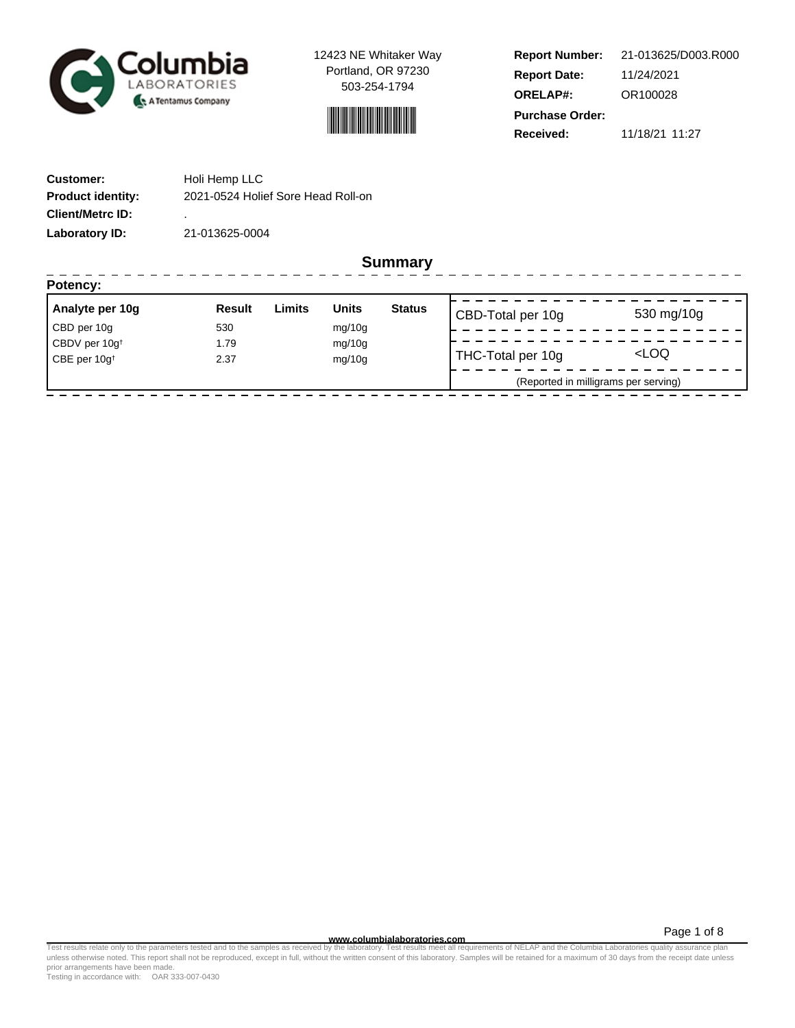

- - - - - - -

12423 NE Whitaker Way Portland, OR 97230 503-254-1794



| <b>Report Number:</b>  | 21-013625/D003.R000 |  |  |  |
|------------------------|---------------------|--|--|--|
| <b>Report Date:</b>    | 11/24/2021          |  |  |  |
| <b>ORELAP#:</b>        | OR100028            |  |  |  |
| <b>Purchase Order:</b> |                     |  |  |  |
| Received:              | 11/18/21 11:27      |  |  |  |

 $- - - - -$ 

| <b>Customer:</b>         | Holi Hemp LLC                      |
|--------------------------|------------------------------------|
| <b>Product identity:</b> | 2021-0524 Holief Sore Head Roll-on |
| <b>Client/Metrc ID:</b>  | ٠.                                 |
| Laboratory ID:           | 21-013625-0004                     |

--------

**Summary**

| Result | Limits | <b>Units</b> | <b>Status</b> |                                      | 530 mg/10g                             |
|--------|--------|--------------|---------------|--------------------------------------|----------------------------------------|
| 530    |        | mg/10g       |               |                                      |                                        |
| 1.79   |        | mg/10g       |               |                                      |                                        |
| 2.37   |        | mg/10g       |               |                                      | <loq< td=""></loq<>                    |
|        |        |              |               | (Reported in milligrams per serving) |                                        |
|        |        |              |               |                                      | CBD-Total per 10g<br>THC-Total per 10g |

**WWW.columbialaboratories.com**<br>unless otherwise noted. This report shall not be reproduced, except in full, without the written consent of this laboratory. Samples will be retained for a maximum of 30 days from the receipt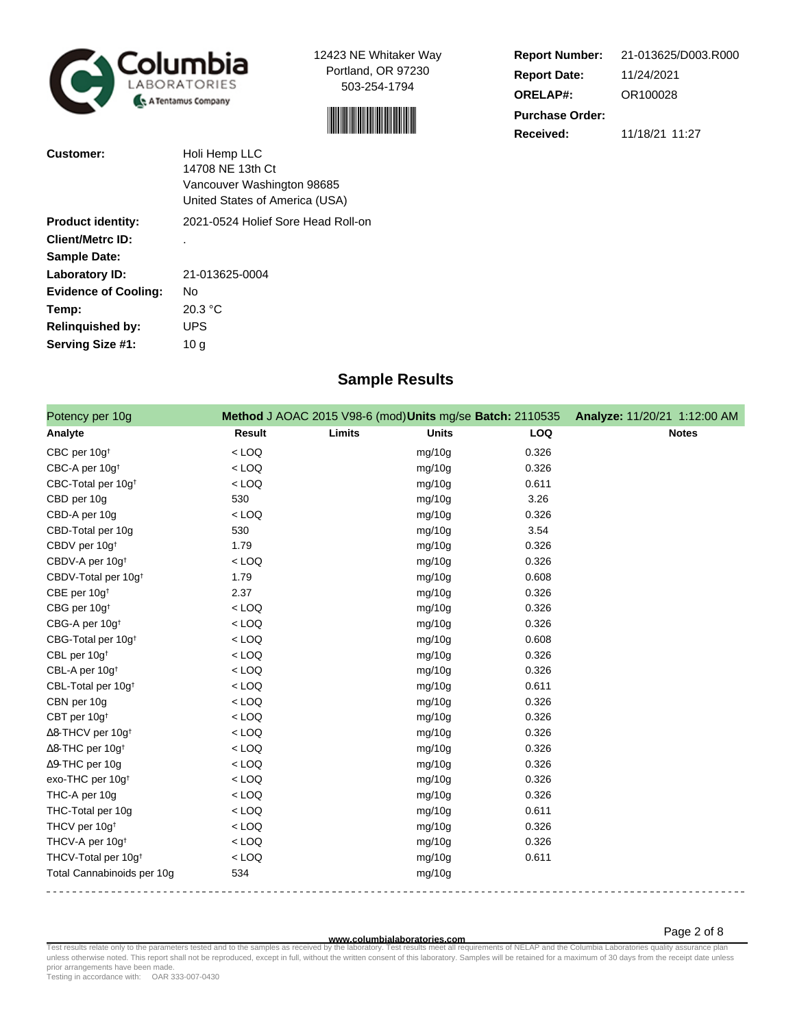

12423 NE Whitaker Way Portland, OR 97230 503-254-1794



| <b>Report Number:</b>  | 21-013625/D003.R000 |  |  |  |
|------------------------|---------------------|--|--|--|
| <b>Report Date:</b>    | 11/24/2021          |  |  |  |
| <b>ORELAP#:</b>        | OR100028            |  |  |  |
| <b>Purchase Order:</b> |                     |  |  |  |
| Received:              | 11/18/21 11:27      |  |  |  |

| <b>Customer:</b>            | Holi Hemp LLC                      |
|-----------------------------|------------------------------------|
|                             | 14708 NE 13th Ct                   |
|                             | Vancouver Washington 98685         |
|                             | United States of America (USA)     |
| <b>Product identity:</b>    | 2021-0524 Holief Sore Head Roll-on |
| <b>Client/Metrc ID:</b>     |                                    |
| <b>Sample Date:</b>         |                                    |
| Laboratory ID:              | 21-013625-0004                     |
| <b>Evidence of Cooling:</b> | No                                 |
| Temp:                       | 20.3 °C                            |
| <b>Relinquished by:</b>     | UPS                                |
| Serving Size #1:            | 10 a                               |

## **Sample Results**

| Potency per 10g                 |         | Method J AOAC 2015 V98-6 (mod) Units mg/se Batch: 2110535 |              |       | Analyze: 11/20/21 1:12:00 AM |              |
|---------------------------------|---------|-----------------------------------------------------------|--------------|-------|------------------------------|--------------|
| Analyte                         | Result  | Limits                                                    | <b>Units</b> | LOQ   |                              | <b>Notes</b> |
| CBC per 10g <sup>t</sup>        | $<$ LOQ |                                                           | mg/10g       | 0.326 |                              |              |
| CBC-A per 10g <sup>t</sup>      | $<$ LOQ |                                                           | mg/10g       | 0.326 |                              |              |
| CBC-Total per 10g <sup>t</sup>  | $<$ LOQ |                                                           | mg/10g       | 0.611 |                              |              |
| CBD per 10g                     | 530     |                                                           | mg/10g       | 3.26  |                              |              |
| CBD-A per 10g                   | $<$ LOQ |                                                           | mg/10g       | 0.326 |                              |              |
| CBD-Total per 10g               | 530     |                                                           | mg/10g       | 3.54  |                              |              |
| CBDV per 10g <sup>+</sup>       | 1.79    |                                                           | mg/10g       | 0.326 |                              |              |
| CBDV-A per 10g <sup>t</sup>     | $<$ LOQ |                                                           | mg/10g       | 0.326 |                              |              |
| CBDV-Total per 10g <sup>+</sup> | 1.79    |                                                           | mg/10g       | 0.608 |                              |              |
| CBE per 10g <sup>t</sup>        | 2.37    |                                                           | mg/10g       | 0.326 |                              |              |
| CBG per 10g <sup>t</sup>        | $<$ LOQ |                                                           | mg/10g       | 0.326 |                              |              |
| CBG-A per 10g <sup>t</sup>      | $<$ LOQ |                                                           | mg/10g       | 0.326 |                              |              |
| CBG-Total per 10g <sup>+</sup>  | $<$ LOQ |                                                           | mg/10g       | 0.608 |                              |              |
| CBL per 10g <sup>+</sup>        | $<$ LOQ |                                                           | mg/10g       | 0.326 |                              |              |
| CBL-A per 10g <sup>t</sup>      | $<$ LOQ |                                                           | mg/10g       | 0.326 |                              |              |
| CBL-Total per 10g <sup>+</sup>  | $<$ LOQ |                                                           | mg/10g       | 0.611 |                              |              |
| CBN per 10g                     | $<$ LOQ |                                                           | mg/10g       | 0.326 |                              |              |
| CBT per 10g <sup>+</sup>        | $<$ LOQ |                                                           | mg/10g       | 0.326 |                              |              |
| ∆8-THCV per 10g <sup>+</sup>    | $<$ LOQ |                                                           | mg/10g       | 0.326 |                              |              |
| ∆8-THC per 10g <sup>+</sup>     | $<$ LOQ |                                                           | mg/10g       | 0.326 |                              |              |
| ∆9-THC per 10g                  | $<$ LOQ |                                                           | mg/10g       | 0.326 |                              |              |
| exo-THC per 10g <sup>t</sup>    | $<$ LOQ |                                                           | mg/10g       | 0.326 |                              |              |
| THC-A per 10g                   | $<$ LOQ |                                                           | mg/10g       | 0.326 |                              |              |
| THC-Total per 10g               | $<$ LOQ |                                                           | mg/10g       | 0.611 |                              |              |
| THCV per 10g <sup>t</sup>       | $<$ LOQ |                                                           | mg/10g       | 0.326 |                              |              |
| THCV-A per 10g <sup>t</sup>     | $<$ LOQ |                                                           | mg/10g       | 0.326 |                              |              |
| THCV-Total per 10g <sup>+</sup> | $<$ LOQ |                                                           | mg/10g       | 0.611 |                              |              |
| Total Cannabinoids per 10g      | 534     |                                                           | mg/10g       |       |                              |              |

**WWW.columbialaboratories.com**<br>unless otherwise noted. This report shall not be reproduced, except in full, without the written consent of this laboratory. Samples will be retained for a maximum of 30 days from the receipt